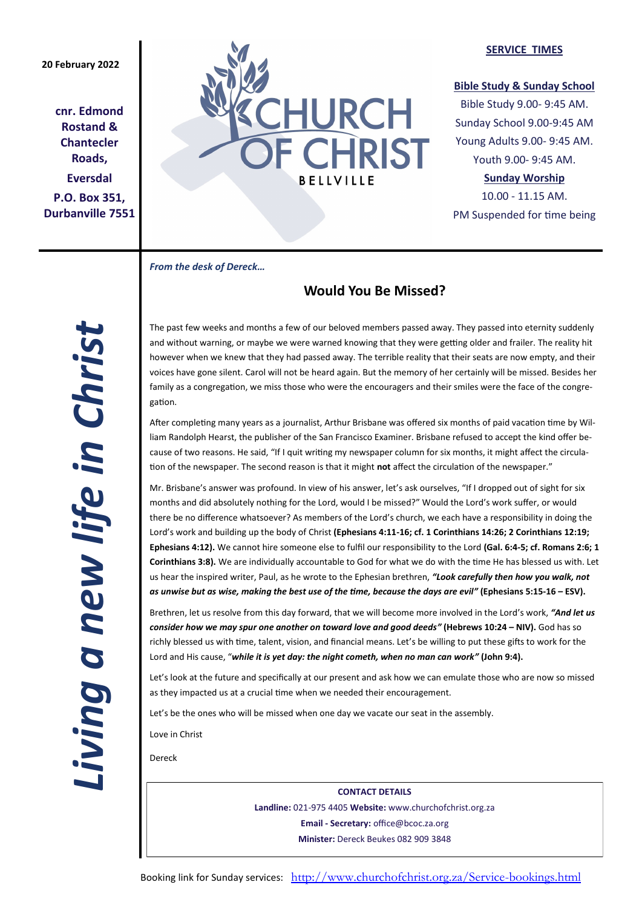# **20 February 2022**

**cnr. Edmond Rostand & Chantecler Roads, Eversdal P.O. Box 351, Durbanville 7551**



## **SERVICE TIMES**

# **Bible Study & Sunday School**

Bible Study 9.00- 9:45 AM. Sunday School 9.00-9:45 AM Young Adults 9.00- 9:45 AM. Youth 9.00- 9:45 AM.

# **Sunday Worship**

10.00 - 11.15 AM. PM Suspended for time being

*From the desk of Dereck…* 

# **Would You Be Missed?**

*Living a new life in Christ*  Living a new life in Christ

The past few weeks and months a few of our beloved members passed away. They passed into eternity suddenly and without warning, or maybe we were warned knowing that they were getting older and frailer. The reality hit however when we knew that they had passed away. The terrible reality that their seats are now empty, and their voices have gone silent. Carol will not be heard again. But the memory of her certainly will be missed. Besides her family as a congregation, we miss those who were the encouragers and their smiles were the face of the congregation.

After completing many years as a journalist, Arthur Brisbane was offered six months of paid vacation time by William Randolph Hearst, the publisher of the San Francisco Examiner. Brisbane refused to accept the kind offer because of two reasons. He said, "If I quit writing my newspaper column for six months, it might affect the circulation of the newspaper. The second reason is that it might **not** affect the circulation of the newspaper."

Mr. Brisbane's answer was profound. In view of his answer, let's ask ourselves, "If I dropped out of sight for six months and did absolutely nothing for the Lord, would I be missed?" Would the Lord's work suffer, or would there be no difference whatsoever? As members of the Lord's church, we each have a responsibility in doing the Lord's work and building up the body of Christ **(Ephesians 4:11-16; cf. 1 Corinthians 14:26; 2 Corinthians 12:19; Ephesians 4:12).** We cannot hire someone else to fulfil our responsibility to the Lord **(Gal. 6:4-5; cf. Romans 2:6; 1 Corinthians 3:8).** We are individually accountable to God for what we do with the time He has blessed us with. Let us hear the inspired writer, Paul, as he wrote to the Ephesian brethren, *"Look carefully then how you walk, not as unwise but as wise, making the best use of the time, because the days are evil"* **(Ephesians 5:15-16 – ESV).**

Brethren, let us resolve from this day forward, that we will become more involved in the Lord's work, *"And let us consider how we may spur one another on toward love and good deeds"* **(Hebrews 10:24 – NIV).** God has so richly blessed us with time, talent, vision, and financial means. Let's be willing to put these gifts to work for the Lord and His cause, "*while it is yet day: the night cometh, when no man can work"* **(John 9:4).**

Let's look at the future and specifically at our present and ask how we can emulate those who are now so missed as they impacted us at a crucial time when we needed their encouragement.

Let's be the ones who will be missed when one day we vacate our seat in the assembly.

Love in Christ

Dereck

**CONTACT DETAILS Landline:** 021-975 4405 **Website:** www.churchofchrist.org.za **Email - Secretary:** office@bcoc.za.org **Minister:** Dereck Beukes 082 909 3848